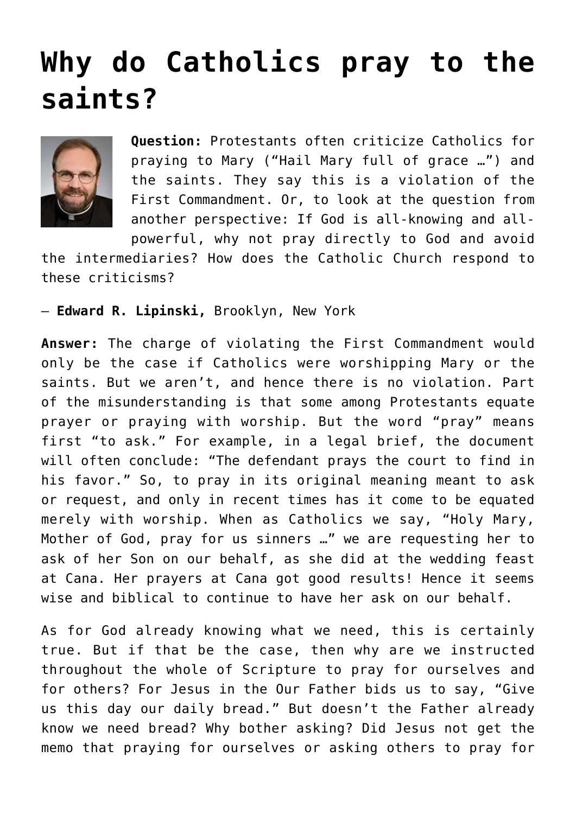## **[Why do Catholics pray to the](https://www.osvnews.com/2021/08/02/why-do-catholics-pray-to-the-saints/) [saints?](https://www.osvnews.com/2021/08/02/why-do-catholics-pray-to-the-saints/)**



**Question:** Protestants often criticize Catholics for praying to Mary ("Hail Mary full of grace …") and the saints. They say this is a violation of the First Commandment. Or, to look at the question from another perspective: If God is all-knowing and allpowerful, why not pray directly to God and avoid

the intermediaries? How does the Catholic Church respond to these criticisms?

— **Edward R. Lipinski,** Brooklyn, New York

**Answer:** The charge of violating the First Commandment would only be the case if Catholics were worshipping Mary or the saints. But we aren't, and hence there is no violation. Part of the misunderstanding is that some among Protestants equate prayer or praying with worship. But the word "pray" means first "to ask." For example, in a legal brief, the document will often conclude: "The defendant prays the court to find in his favor." So, to pray in its original meaning meant to ask or request, and only in recent times has it come to be equated merely with worship. When as Catholics we say, "Holy Mary, Mother of God, pray for us sinners …" we are requesting her to ask of her Son on our behalf, as she did at the wedding feast at Cana. Her prayers at Cana got good results! Hence it seems wise and biblical to continue to have her ask on our behalf.

As for God already knowing what we need, this is certainly true. But if that be the case, then why are we instructed throughout the whole of Scripture to pray for ourselves and for others? For Jesus in the Our Father bids us to say, "Give us this day our daily bread." But doesn't the Father already know we need bread? Why bother asking? Did Jesus not get the memo that praying for ourselves or asking others to pray for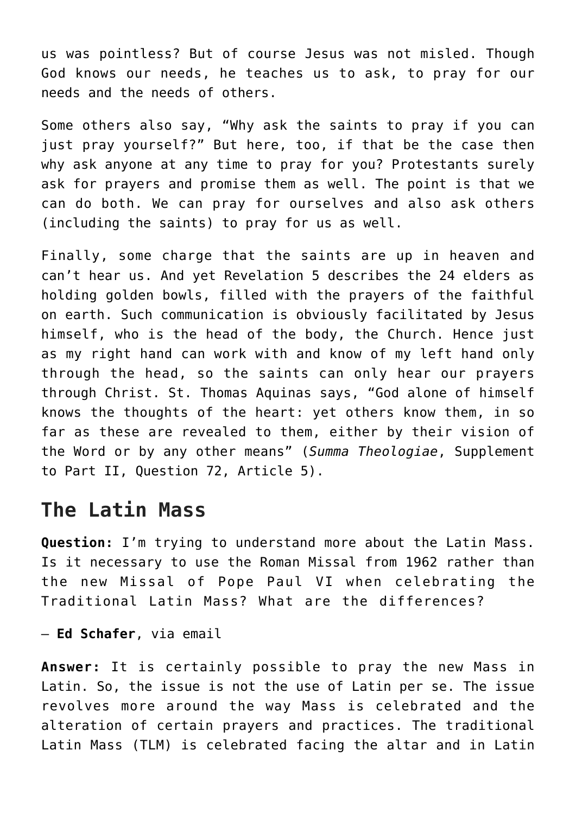us was pointless? But of course Jesus was not misled. Though God knows our needs, he teaches us to ask, to pray for our needs and the needs of others.

Some others also say, "Why ask the saints to pray if you can just pray yourself?" But here, too, if that be the case then why ask anyone at any time to pray for you? Protestants surely ask for prayers and promise them as well. The point is that we can do both. We can pray for ourselves and also ask others (including the saints) to pray for us as well.

Finally, some charge that the saints are up in heaven and can't hear us. And yet Revelation 5 describes the 24 elders as holding golden bowls, filled with the prayers of the faithful on earth. Such communication is obviously facilitated by Jesus himself, who is the head of the body, the Church. Hence just as my right hand can work with and know of my left hand only through the head, so the saints can only hear our prayers through Christ. St. Thomas Aquinas says, "God alone of himself knows the thoughts of the heart: yet others know them, in so far as these are revealed to them, either by their vision of the Word or by any other means" (*Summa Theologiae*, Supplement to Part II, Question 72, Article 5).

## **The Latin Mass**

**Question:** I'm trying to understand more about the Latin Mass. Is it necessary to use the Roman Missal from 1962 rather than the new Missal of Pope Paul VI when celebrating the Traditional Latin Mass? What are the differences?

— **Ed Schafer**, via email

**Answer:** It is certainly possible to pray the new Mass in Latin. So, the issue is not the use of Latin per se. The issue revolves more around the way Mass is celebrated and the alteration of certain prayers and practices. The traditional Latin Mass (TLM) is celebrated facing the altar and in Latin